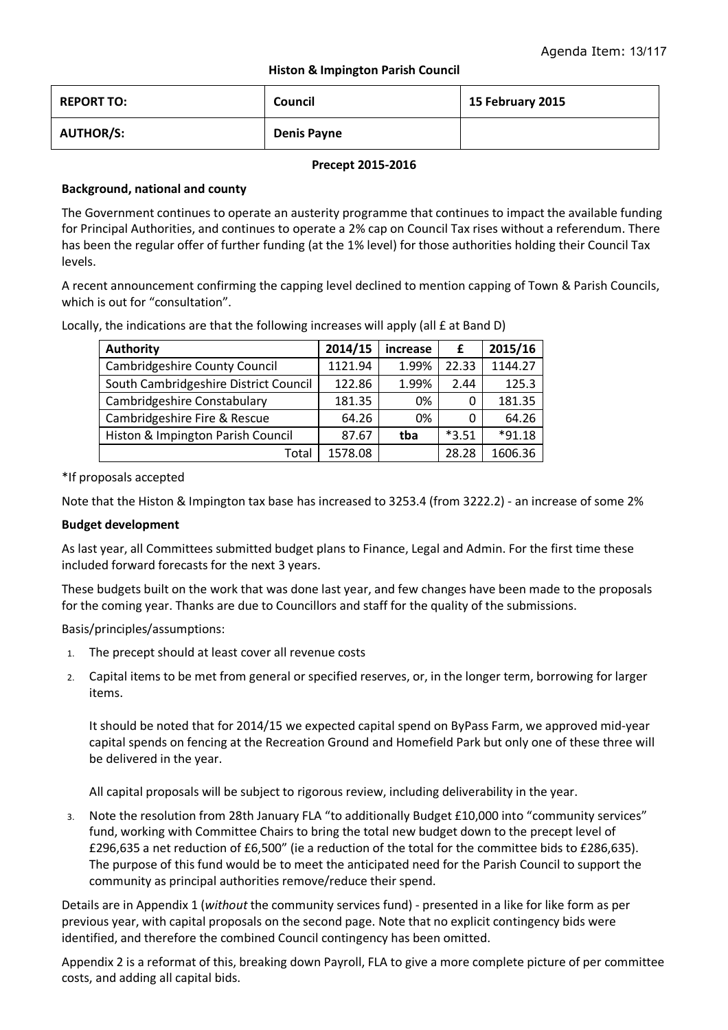# **Histon & Impington Parish Council**

| <b>REPORT TO:</b> | Council            | 15 February 2015 |
|-------------------|--------------------|------------------|
| <b>AUTHOR/S:</b>  | <b>Denis Payne</b> |                  |

#### **Precept 2015-2016**

# **Background, national and county**

The Government continues to operate an austerity programme that continues to impact the available funding for Principal Authorities, and continues to operate a 2% cap on Council Tax rises without a referendum. There has been the regular offer of further funding (at the 1% level) for those authorities holding their Council Tax levels.

A recent announcement confirming the capping level declined to mention capping of Town & Parish Councils, which is out for "consultation".

Locally, the indications are that the following increases will apply (all £ at Band D)

| <b>Authority</b>                      | 2014/15 | increase | £       | 2015/16  |
|---------------------------------------|---------|----------|---------|----------|
| Cambridgeshire County Council         | 1121.94 | 1.99%    | 22.33   | 1144.27  |
| South Cambridgeshire District Council | 122.86  | 1.99%    | 2.44    | 125.3    |
| Cambridgeshire Constabulary           | 181.35  | 0%       | 0       | 181.35   |
| Cambridgeshire Fire & Rescue          | 64.26   | 0%       | 0       | 64.26    |
| Histon & Impington Parish Council     | 87.67   | tba      | $*3.51$ | $*91.18$ |
| Total                                 | 1578.08 |          | 28.28   | 1606.36  |

\*If proposals accepted

Note that the Histon & Impington tax base has increased to 3253.4 (from 3222.2) - an increase of some 2%

## **Budget development**

As last year, all Committees submitted budget plans to Finance, Legal and Admin. For the first time these included forward forecasts for the next 3 years.

These budgets built on the work that was done last year, and few changes have been made to the proposals for the coming year. Thanks are due to Councillors and staff for the quality of the submissions.

Basis/principles/assumptions:

- 1. The precept should at least cover all revenue costs
- 2. Capital items to be met from general or specified reserves, or, in the longer term, borrowing for larger items.

It should be noted that for 2014/15 we expected capital spend on ByPass Farm, we approved mid-year capital spends on fencing at the Recreation Ground and Homefield Park but only one of these three will be delivered in the year.

All capital proposals will be subject to rigorous review, including deliverability in the year.

3. Note the resolution from 28th January FLA "to additionally Budget £10,000 into "community services" fund, working with Committee Chairs to bring the total new budget down to the precept level of £296,635 a net reduction of £6,500" (ie a reduction of the total for the committee bids to £286,635). The purpose of this fund would be to meet the anticipated need for the Parish Council to support the community as principal authorities remove/reduce their spend.

Details are in Appendix 1 (*without* the community services fund) - presented in a like for like form as per previous year, with capital proposals on the second page. Note that no explicit contingency bids were identified, and therefore the combined Council contingency has been omitted.

Appendix 2 is a reformat of this, breaking down Payroll, FLA to give a more complete picture of per committee costs, and adding all capital bids.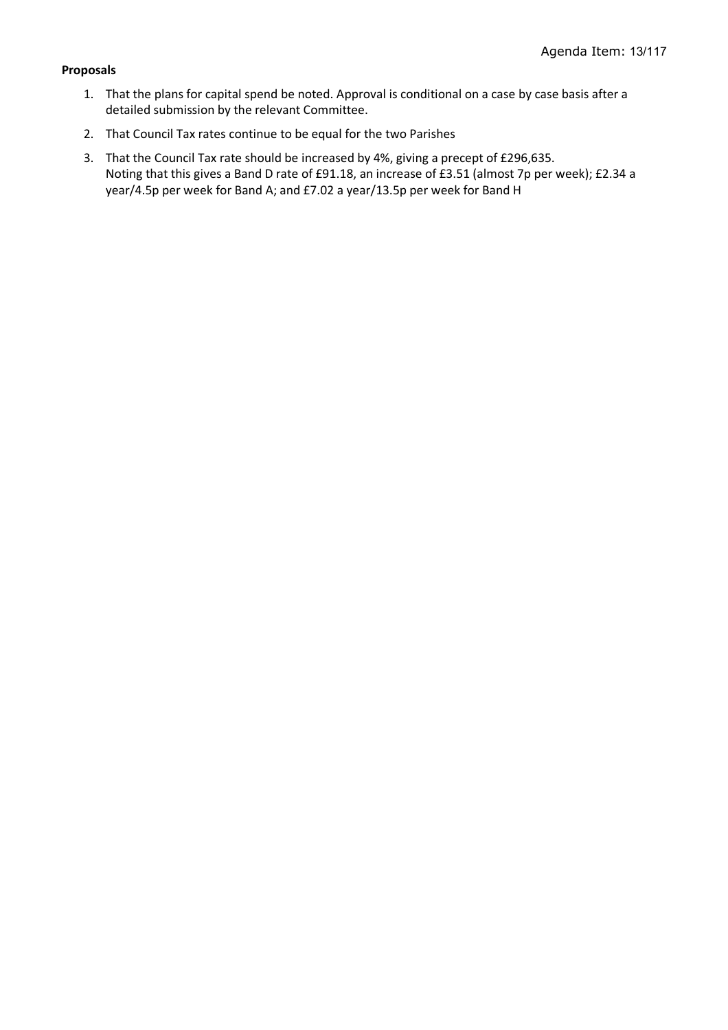## **Proposals**

- 1. That the plans for capital spend be noted. Approval is conditional on a case by case basis after a detailed submission by the relevant Committee.
- 2. That Council Tax rates continue to be equal for the two Parishes
- 3. That the Council Tax rate should be increased by 4%, giving a precept of £296,635. Noting that this gives a Band D rate of £91.18, an increase of £3.51 (almost 7p per week); £2.34 a year/4.5p per week for Band A; and £7.02 a year/13.5p per week for Band H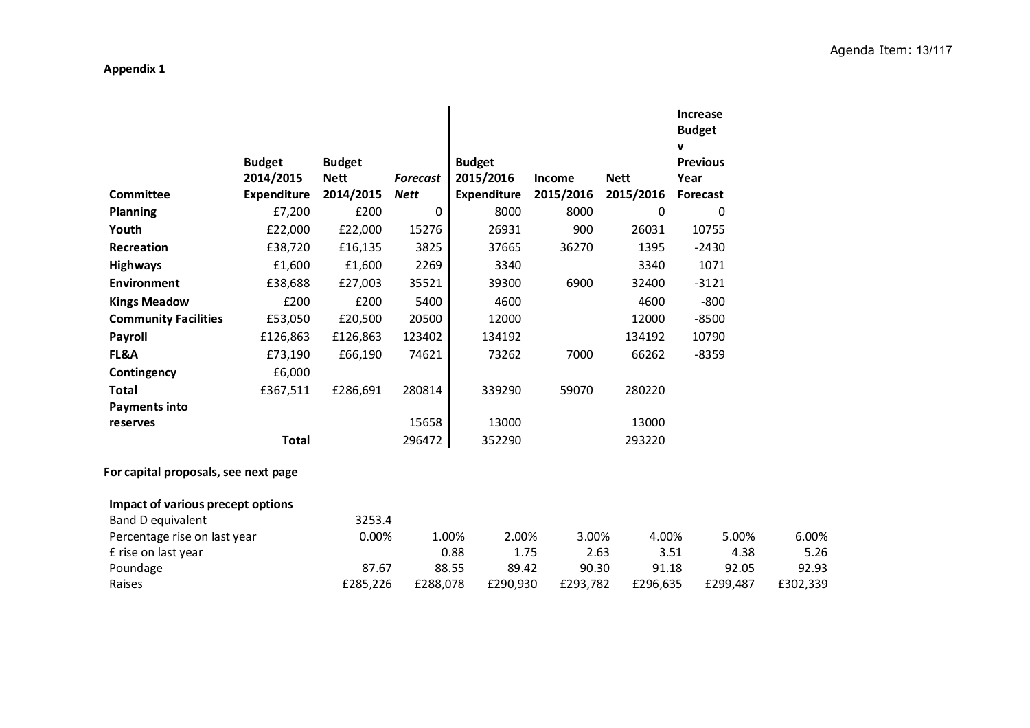# **Appendix 1**

|                                      |                    |               |                 |                    |               |             | <b>Increase</b><br><b>Budget</b><br>$\mathbf v$ |       |          |
|--------------------------------------|--------------------|---------------|-----------------|--------------------|---------------|-------------|-------------------------------------------------|-------|----------|
|                                      | <b>Budget</b>      | <b>Budget</b> |                 | <b>Budget</b>      |               |             | <b>Previous</b>                                 |       |          |
|                                      | 2014/2015          | <b>Nett</b>   | <b>Forecast</b> | 2015/2016          | <b>Income</b> | <b>Nett</b> | Year                                            |       |          |
| <b>Committee</b>                     | <b>Expenditure</b> | 2014/2015     | <b>Nett</b>     | <b>Expenditure</b> | 2015/2016     | 2015/2016   | Forecast                                        |       |          |
| <b>Planning</b>                      | £7,200             | £200          | 0               | 8000               | 8000          | 0           | $\mathbf 0$                                     |       |          |
| Youth                                | £22,000            | £22,000       | 15276           | 26931              | 900           | 26031       | 10755                                           |       |          |
| Recreation                           | £38,720            | £16,135       | 3825            | 37665              | 36270         | 1395        | $-2430$                                         |       |          |
| <b>Highways</b>                      | £1,600             | £1,600        | 2269            | 3340               |               | 3340        | 1071                                            |       |          |
| <b>Environment</b>                   | £38,688            | £27,003       | 35521           | 39300              | 6900          | 32400       | $-3121$                                         |       |          |
| <b>Kings Meadow</b>                  | £200               | £200          | 5400            | 4600               |               | 4600        | $-800$                                          |       |          |
| <b>Community Facilities</b>          | £53,050            | £20,500       | 20500           | 12000              |               | 12000       | $-8500$                                         |       |          |
| Payroll                              | £126,863           | £126,863      | 123402          | 134192             |               | 134192      | 10790                                           |       |          |
| FL&A                                 | £73,190            | £66,190       | 74621           | 73262              | 7000          | 66262       | $-8359$                                         |       |          |
| Contingency                          | £6,000             |               |                 |                    |               |             |                                                 |       |          |
| <b>Total</b>                         | £367,511           | £286,691      | 280814          | 339290             | 59070         | 280220      |                                                 |       |          |
| <b>Payments into</b>                 |                    |               |                 |                    |               |             |                                                 |       |          |
| reserves                             |                    |               | 15658           | 13000              |               | 13000       |                                                 |       |          |
|                                      | <b>Total</b>       |               | 296472          | 352290             |               | 293220      |                                                 |       |          |
| For capital proposals, see next page |                    |               |                 |                    |               |             |                                                 |       |          |
| Impact of various precept options    |                    |               |                 |                    |               |             |                                                 |       |          |
| Band D equivalent                    |                    | 3253.4        |                 |                    |               |             |                                                 |       |          |
| Percentage rise on last year         |                    | 0.00%         |                 | 1.00%<br>2.00%     | 3.00%         | 4.00%       |                                                 | 5.00% | 6.00%    |
| £ rise on last year                  |                    |               |                 | 0.88<br>1.75       | 2.63          |             | 3.51                                            | 4.38  | 5.26     |
| Poundage                             |                    | 87.67         |                 | 88.55<br>89.42     | 90.30         | 91.18       |                                                 | 92.05 | 92.93    |
| Raises                               |                    | £285,226      | £288,078        | £290,930           | £293,782      | £296,635    | £299,487                                        |       | £302,339 |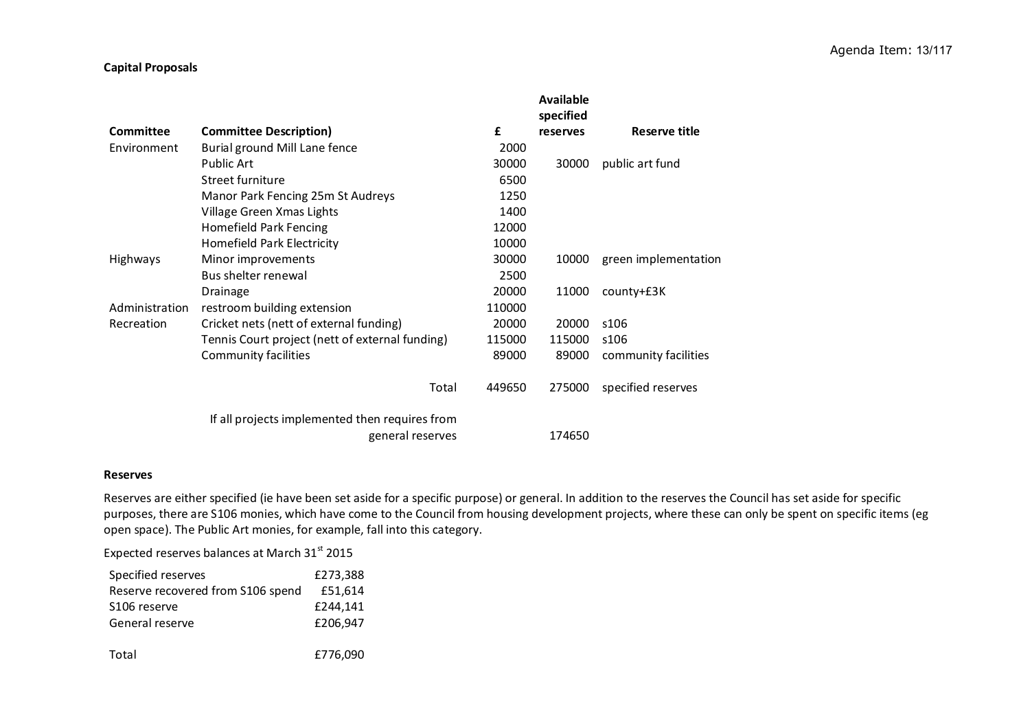#### **Capital Proposals**

|                  |                                                 |        | Available<br>specified |                      |
|------------------|-------------------------------------------------|--------|------------------------|----------------------|
| <b>Committee</b> | <b>Committee Description)</b>                   | £      | reserves               | Reserve title        |
| Environment      | Burial ground Mill Lane fence                   | 2000   |                        |                      |
|                  | <b>Public Art</b>                               | 30000  | 30000                  | public art fund      |
|                  | Street furniture                                | 6500   |                        |                      |
|                  | Manor Park Fencing 25m St Audreys               | 1250   |                        |                      |
|                  | Village Green Xmas Lights                       | 1400   |                        |                      |
|                  | <b>Homefield Park Fencing</b>                   | 12000  |                        |                      |
|                  | Homefield Park Electricity                      | 10000  |                        |                      |
| <b>Highways</b>  | Minor improvements                              | 30000  | 10000                  | green implementation |
|                  | Bus shelter renewal                             | 2500   |                        |                      |
|                  | Drainage                                        | 20000  | 11000                  | county+£3K           |
| Administration   | restroom building extension                     | 110000 |                        |                      |
| Recreation       | Cricket nets (nett of external funding)         | 20000  | 20000                  | s106                 |
|                  | Tennis Court project (nett of external funding) | 115000 | 115000                 | s106                 |
|                  | <b>Community facilities</b>                     | 89000  | 89000                  | community facilities |
|                  | Total                                           | 449650 | 275000                 | specified reserves   |
|                  | If all projects implemented then requires from  |        |                        |                      |
|                  | general reserves                                |        | 174650                 |                      |

#### **Reserves**

Reserves are either specified (ie have been set aside for a specific purpose) or general. In addition to the reserves the Council has set aside for specific purposes, there are S106 monies, which have come to the Council from housing development projects, where these can only be spent on specific items (eg open space). The Public Art monies, for example, fall into this category.

Expected reserves balances at March 31st 2015

| Specified reserves                 | £273,388 |
|------------------------------------|----------|
| Reserve recovered from \$106 spend | £51.614  |
| S106 reserve                       | £244.141 |
| General reserve                    | £206.947 |
|                                    |          |

Total£776,090